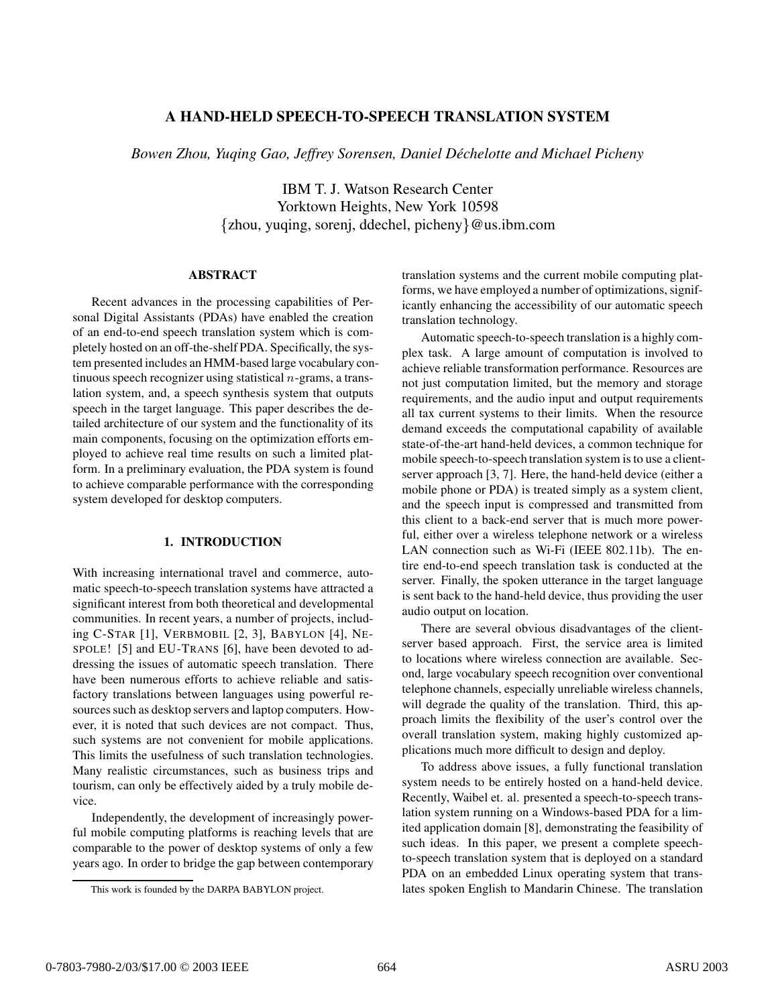# **A HAND-HELD SPEECH-TO-SPEECH TRANSLATION SYSTEM**

*Bowen Zhou, Yuqing Gao, Jeffrey Sorensen, Daniel Dechelotte and Michael Picheny ´*

IBM T. J. Watson Research Center Yorktown Heights, New York 10598  $\{zhou, yuqing, sorenj, ddechel, picheny\}$ @us.ibm.com

### **ABSTRACT**

Recent advances in the processing capabilities of Personal Digital Assistants (PDAs) have enabled the creation of an end-to-end speech translation system which is completely hosted on an off-the-shelf PDA. Specifically, the system presented includes an HMM-based large vocabulary continuous speech recognizer using statistical  $n$ -grams, a translation system, and, a speech synthesis system that outputs speech in the target language. This paper describes the detailed architecture of our system and the functionality of its main components, focusing on the optimization efforts employed to achieve real time results on such a limited platform. In a preliminary evaluation, the PDA system is found to achieve comparable performance with the corresponding system developed for desktop computers.

### **1. INTRODUCTION**

With increasing international travel and commerce, automatic speech-to-speech translation systems have attracted a significant interest from both theoretical and developmental communities. In recent years, a number of projects, including C-STAR [1], VERBMOBIL [2, 3], BABYLON [4], NE-SPOLE! [5] and EU-TRANS [6], have been devoted to addressing the issues of automatic speech translation. There have been numerous efforts to achieve reliable and satisfactory translations between languages using powerful resources such as desktop servers and laptop computers. However, it is noted that such devices are not compact. Thus, such systems are not convenient for mobile applications. This limits the usefulness of such translation technologies. Many realistic circumstances, such as business trips and tourism, can only be effectively aided by a truly mobile device.

Independently, the development of increasingly powerful mobile computing platforms is reaching levels that are comparable to the power of desktop systems of only a few years ago. In order to bridge the gap between contemporary translation systems and the current mobile computing platforms, we have employed a number of optimizations, significantly enhancing the accessibility of our automatic speech translation technology.

Automatic speech-to-speech translation is a highly complex task. A large amount of computation is involved to achieve reliable transformation performance. Resources are not just computation limited, but the memory and storage requirements, and the audio input and output requirements all tax current systems to their limits. When the resource demand exceeds the computational capability of available state-of-the-art hand-held devices, a common technique for mobile speech-to-speech translation system is to use a clientserver approach [3, 7]. Here, the hand-held device (either a mobile phone or PDA) is treated simply as a system client, and the speech input is compressed and transmitted from this client to a back-end server that is much more powerful, either over a wireless telephone network or a wireless LAN connection such as Wi-Fi (IEEE 802.11b). The entire end-to-end speech translation task is conducted at the server. Finally, the spoken utterance in the target language is sent back to the hand-held device, thus providing the user audio output on location.

There are several obvious disadvantages of the clientserver based approach. First, the service area is limited to locations where wireless connection are available. Second, large vocabulary speech recognition over conventional telephone channels, especially unreliable wireless channels, will degrade the quality of the translation. Third, this approach limits the flexibility of the user's control over the overall translation system, making highly customized applications much more difficult to design and deploy.

To address above issues, a fully functional translation system needs to be entirely hosted on a hand-held device. Recently, Waibel et. al. presented a speech-to-speech translation system running on a Windows-based PDA for a limited application domain [8], demonstrating the feasibility of such ideas. In this paper, we present a complete speechto-speech translation system that is deployed on a standard PDA on an embedded Linux operating system that translates spoken English to Mandarin Chinese. The translation

This work is founded by the DARPA BABYLON project.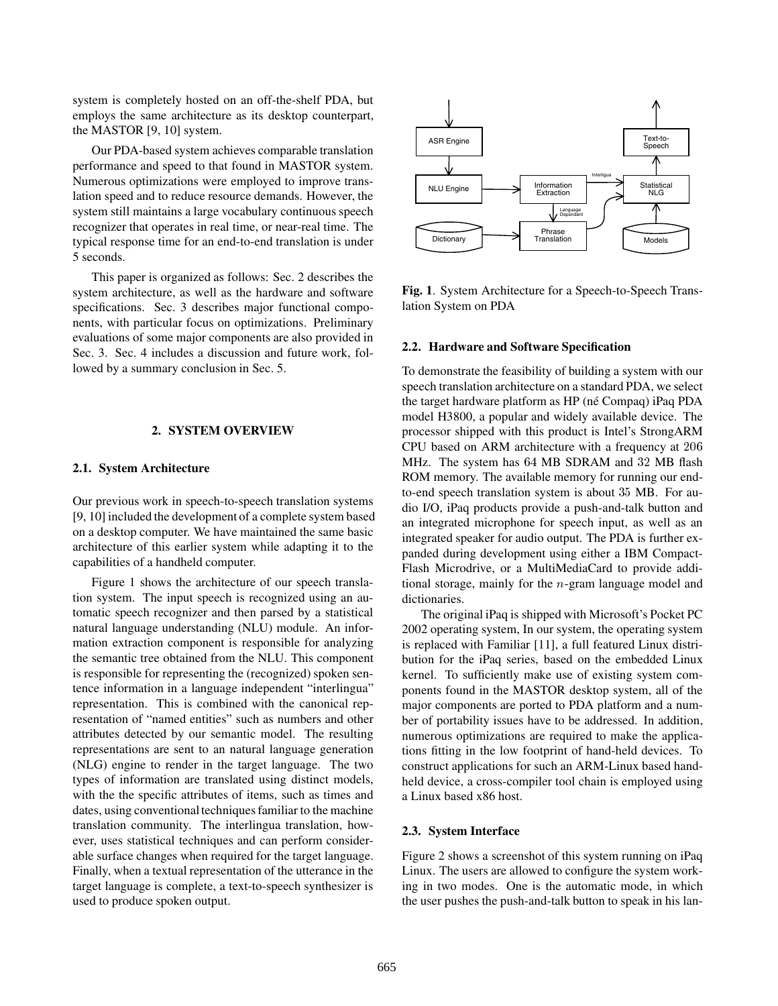system is completely hosted on an off-the-shelf PDA, but employs the same architecture as its desktop counterpart, the MASTOR [9, 10] system.

Our PDA-based system achieves comparable translation performance and speed to that found in MASTOR system. Numerous optimizations were employed to improve translation speed and to reduce resource demands. However, the system still maintains a large vocabulary continuous speech recognizer that operates in real time, or near-real time. The typical response time for an end-to-end translation is under 5 seconds.

This paper is organized as follows: Sec. 2 describes the system architecture, as well as the hardware and software specifications. Sec. 3 describes major functional components, with particular focus on optimizations. Preliminary evaluations of some major components are also provided in Sec. 3. Sec. 4 includes a discussion and future work, followed by a summary conclusion in Sec. 5.

## **2. SYSTEM OVERVIEW**

#### **2.1. System Architecture**

Our previous work in speech-to-speech translation systems [9, 10] included the development of a complete system based on a desktop computer. We have maintained the same basic architecture of this earlier system while adapting it to the capabilities of a handheld computer.

Figure 1 shows the architecture of our speech translation system. The input speech is recognized using an automatic speech recognizer and then parsed by a statistical natural language understanding (NLU) module. An information extraction component is responsible for analyzing the semantic tree obtained from the NLU. This component is responsible for representing the (recognized) spoken sentence information in a language independent "interlingua" representation. This is combined with the canonical representation of "named entities" such as numbers and other attributes detected by our semantic model. The resulting representations are sent to an natural language generation (NLG) engine to render in the target language. The two types of information are translated using distinct models, with the the specific attributes of items, such as times and dates, using conventional techniques familiar to the machine translation community. The interlingua translation, however, uses statistical techniques and can perform considerable surface changes when required for the target language. Finally, when a textual representation of the utterance in the target language is complete, a text-to-speech synthesizer is used to produce spoken output.



**Fig. 1**. System Architecture for a Speech-to-Speech Translation System on PDA

#### **2.2. Hardware and Software Specification**

To demonstrate the feasibility of building a system with our speech translation architecture on a standard PDA, we select the target hardware platform as HP (n´e Compaq) iPaq PDA model H3800, a popular and widely available device. The processor shipped with this product is Intel's StrongARM CPU based on ARM architecture with a frequency at 206 MHz. The system has 64 MB SDRAM and 32 MB flash ROM memory. The available memory for running our endto-end speech translation system is about 35 MB. For audio I/O, iPaq products provide a push-and-talk button and an integrated microphone for speech input, as well as an integrated speaker for audio output. The PDA is further expanded during development using either a IBM Compact-Flash Microdrive, or a MultiMediaCard to provide additional storage, mainly for the  $n$ -gram language model and dictionaries.

The original iPaq is shipped with Microsoft's Pocket PC 2002 operating system, In our system, the operating system is replaced with Familiar [11], a full featured Linux distribution for the iPaq series, based on the embedded Linux kernel. To sufficiently make use of existing system components found in the MASTOR desktop system, all of the major components are ported to PDA platform and a number of portability issues have to be addressed. In addition, numerous optimizations are required to make the applications fitting in the low footprint of hand-held devices. To construct applications for such an ARM-Linux based handheld device, a cross-compiler tool chain is employed using a Linux based x86 host.

## **2.3. System Interface**

Figure 2 shows a screenshot of this system running on iPaq Linux. The users are allowed to configure the system working in two modes. One is the automatic mode, in which the user pushes the push-and-talk button to speak in his lan-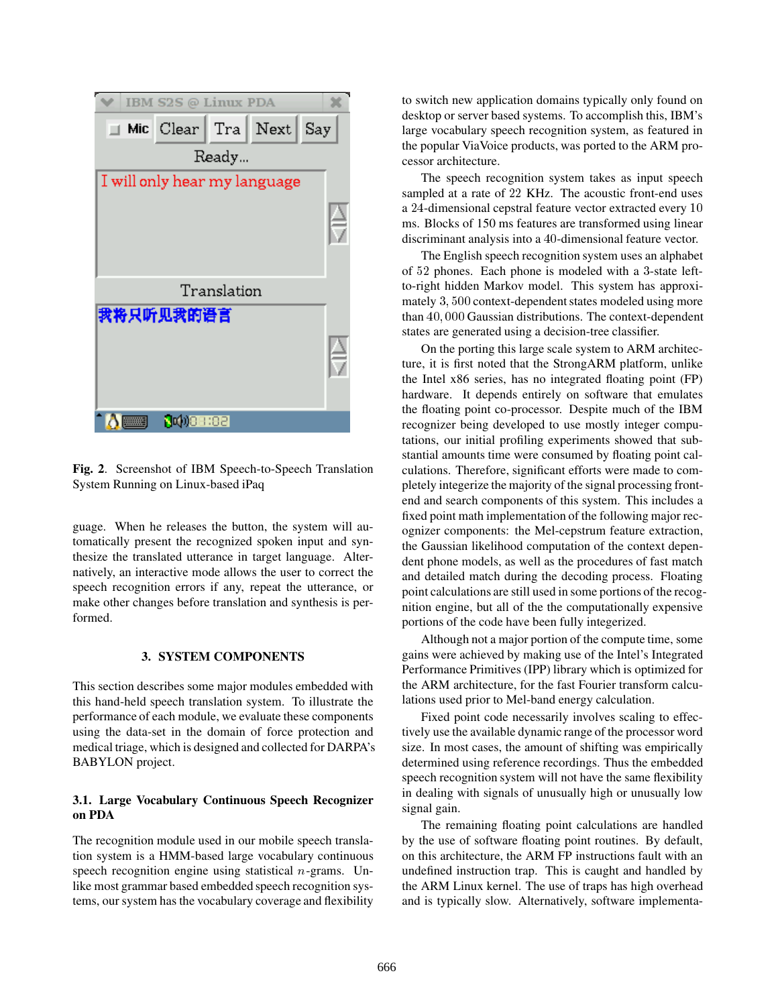

**Fig. 2**. Screenshot of IBM Speech-to-Speech Translation System Running on Linux-based iPaq

guage. When he releases the button, the system will automatically present the recognized spoken input and synthesize the translated utterance in target language. Alternatively, an interactive mode allows the user to correct the speech recognition errors if any, repeat the utterance, or make other changes before translation and synthesis is performed.

# **3. SYSTEM COMPONENTS**

This section describes some major modules embedded with this hand-held speech translation system. To illustrate the performance of each module, we evaluate these components using the data-set in the domain of force protection and medical triage, which is designed and collected for DARPA's BABYLON project.

# **3.1. Large Vocabulary Continuous Speech Recognizer on PDA**

The recognition module used in our mobile speech translation system is a HMM-based large vocabulary continuous speech recognition engine using statistical  $n$ -grams. Unlike most grammar based embedded speech recognition systems, our system has the vocabulary coverage and flexibility to switch new application domains typically only found on desktop or server based systems. To accomplish this, IBM's large vocabulary speech recognition system, as featured in the popular ViaVoice products, was ported to the ARM processor architecture.

The speech recognition system takes as input speech sampled at a rate of 22 KHz. The acoustic front-end uses a 24-dimensional cepstral feature vector extracted every 10 ms. Blocks of 150 ms features are transformed using linear discriminant analysis into a 40-dimensional feature vector.

The English speech recognition system uses an alphabet of 52 phones. Each phone is modeled with a 3-state leftto-right hidden Markov model. This system has approximately  $3,500$  context-dependent states modeled using more than  $40,000$  Gaussian distributions. The context-dependent states are generated using a decision-tree classifier.

On the porting this large scale system to ARM architecture, it is first noted that the StrongARM platform, unlike the Intel x86 series, has no integrated floating point (FP) hardware. It depends entirely on software that emulates the floating point co-processor. Despite much of the IBM recognizer being developed to use mostly integer computations, our initial profiling experiments showed that substantial amounts time were consumed by floating point calculations. Therefore, significant efforts were made to completely integerize the majority of the signal processing frontend and search components of this system. This includes a fixed point math implementation of the following major recognizer components: the Mel-cepstrum feature extraction, the Gaussian likelihood computation of the context dependent phone models, as well as the procedures of fast match and detailed match during the decoding process. Floating point calculations are still used in some portions of the recognition engine, but all of the the computationally expensive portions of the code have been fully integerized.

Although not a major portion of the compute time, some gains were achieved by making use of the Intel's Integrated Performance Primitives (IPP) library which is optimized for the ARM architecture, for the fast Fourier transform calculations used prior to Mel-band energy calculation.

Fixed point code necessarily involves scaling to effectively use the available dynamic range of the processor word size. In most cases, the amount of shifting was empirically determined using reference recordings. Thus the embedded speech recognition system will not have the same flexibility in dealing with signals of unusually high or unusually low signal gain.

The remaining floating point calculations are handled by the use of software floating point routines. By default, on this architecture, the ARM FP instructions fault with an undefined instruction trap. This is caught and handled by the ARM Linux kernel. The use of traps has high overhead and is typically slow. Alternatively, software implementa-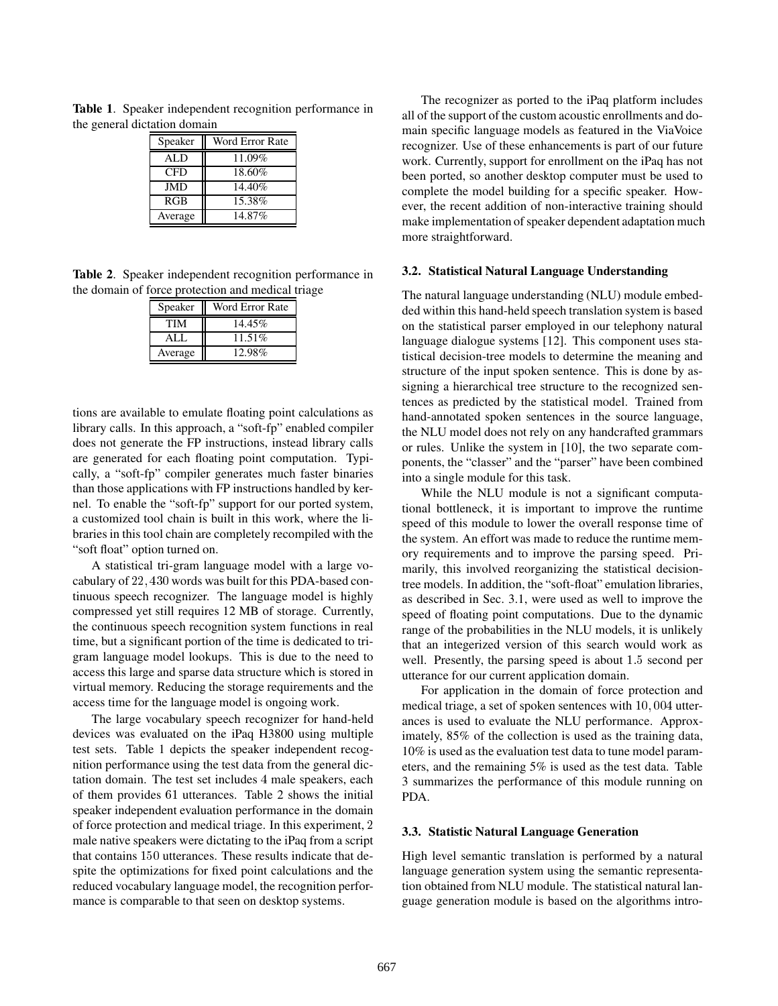**Table 1**. Speaker independent recognition performance in the general dictation domain

| Speaker | Word Error Rate |
|---------|-----------------|
| ALD     | 11.09%          |
| CFD     | 18.60%          |
| JMD     | 14.40%          |
| RGB     | 15.38%          |
| Average | 14.87%          |

**Table 2**. Speaker independent recognition performance in the domain of force protection and medical triage

| Speaker | Word Error Rate |  |
|---------|-----------------|--|
| TIM     | 14.45%          |  |
| ALL.    | 11.51%          |  |
| Average | 12.98%          |  |

tions are available to emulate floating point calculations as library calls. In this approach, a "soft-fp" enabled compiler does not generate the FP instructions, instead library calls are generated for each floating point computation. Typically, a "soft-fp" compiler generates much faster binaries than those applications with FP instructions handled by kernel. To enable the "soft-fp" support for our ported system, a customized tool chain is built in this work, where the libraries in this tool chain are completely recompiled with the "soft float" option turned on.

A statistical tri-gram language model with a large vocabulary of 22, 430 words was built for this PDA-based continuous speech recognizer. The language model is highly compressed yet still requires 12 MB of storage. Currently, the continuous speech recognition system functions in real time, but a significant portion of the time is dedicated to trigram language model lookups. This is due to the need to access this large and sparse data structure which is stored in virtual memory. Reducing the storage requirements and the access time for the language model is ongoing work.

The large vocabulary speech recognizer for hand-held devices was evaluated on the iPaq H3800 using multiple test sets. Table 1 depicts the speaker independent recognition performance using the test data from the general dictation domain. The test set includes 4 male speakers, each of them provides 61 utterances. Table 2 shows the initial speaker independent evaluation performance in the domain of force protection and medical triage. In this experiment, male native speakers were dictating to the iPaq from a script that contains  $150$  utterances. These results indicate that despite the optimizations for fixed point calculations and the reduced vocabulary language model, the recognition performance is comparable to that seen on desktop systems.

The recognizer as ported to the iPaq platform includes all of the support of the custom acoustic enrollments and domain specific language models as featured in the ViaVoice recognizer. Use of these enhancements is part of our future work. Currently, support for enrollment on the iPaq has not been ported, so another desktop computer must be used to complete the model building for a specific speaker. However, the recent addition of non-interactive training should make implementation of speaker dependent adaptation much more straightforward.

## **3.2. Statistical Natural Language Understanding**

The natural language understanding (NLU) module embedded within this hand-held speech translation system is based on the statistical parser employed in our telephony natural language dialogue systems [12]. This component uses statistical decision-tree models to determine the meaning and structure of the input spoken sentence. This is done by assigning a hierarchical tree structure to the recognized sentences as predicted by the statistical model. Trained from hand-annotated spoken sentences in the source language, the NLU model does not rely on any handcrafted grammars or rules. Unlike the system in [10], the two separate components, the "classer" and the "parser" have been combined into a single module for this task.

While the NLU module is not a significant computational bottleneck, it is important to improve the runtime speed of this module to lower the overall response time of the system. An effort was made to reduce the runtime memory requirements and to improve the parsing speed. Primarily, this involved reorganizing the statistical decisiontree models. In addition, the "soft-float" emulation libraries, as described in Sec. 3.1, were used as well to improve the speed of floating point computations. Due to the dynamic range of the probabilities in the NLU models, it is unlikely that an integerized version of this search would work as well. Presently, the parsing speed is about  $1.5$  second per utterance for our current application domain.

For application in the domain of force protection and medical triage, a set of spoken sentences with  $10,004$  utterances is used to evaluate the NLU performance. Approximately, 85% of the collection is used as the training data, 10% is used as the evaluation test data to tune model parameters, and the remaining 5% is used as the test data. Table 3 summarizes the performance of this module running on PDA.

# **3.3. Statistic Natural Language Generation**

High level semantic translation is performed by a natural language generation system using the semantic representation obtained from NLU module. The statistical natural language generation module is based on the algorithms intro-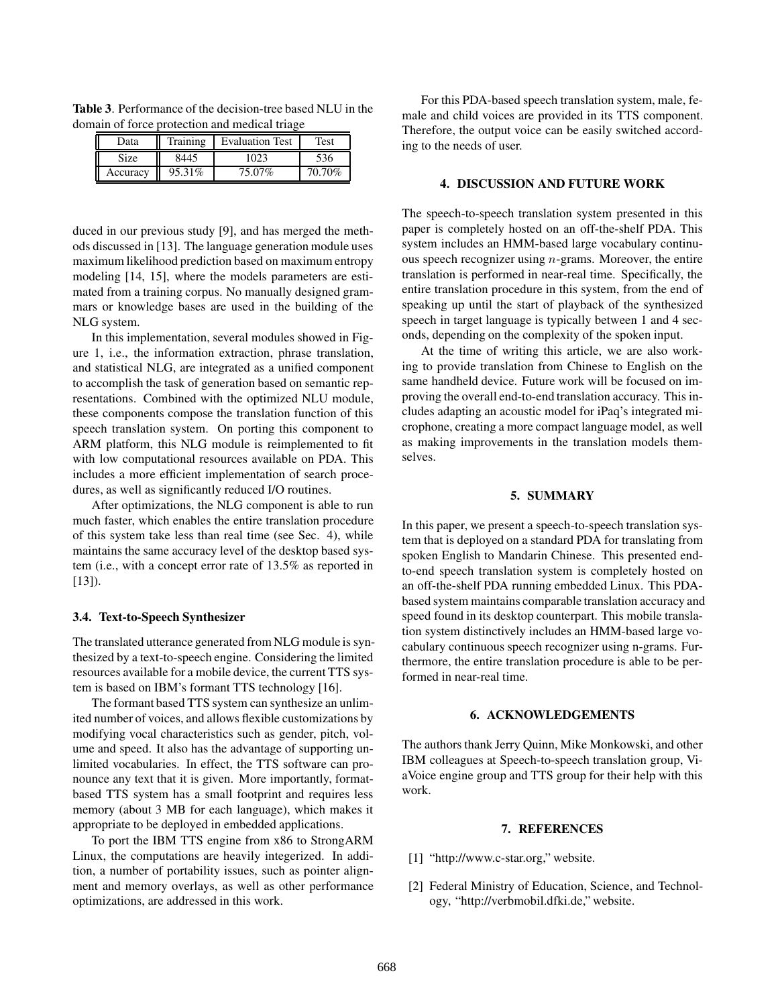| main of force protection and incureal thage |          |      |                            |      |  |  |
|---------------------------------------------|----------|------|----------------------------|------|--|--|
|                                             | Data     |      | Training   Evaluation Test | Test |  |  |
|                                             | Size     | 8445 | 023                        | 536  |  |  |
|                                             | Accuracv |      |                            |      |  |  |

**Table 3**. Performance of the decision-tree based NLU in the domain of force protection and medical triage

duced in our previous study [9], and has merged the methods discussed in [13]. The language generation module uses maximum likelihood prediction based on maximum entropy modeling [14, 15], where the models parameters are estimated from a training corpus. No manually designed grammars or knowledge bases are used in the building of the NLG system.

In this implementation, several modules showed in Figure 1, i.e., the information extraction, phrase translation, and statistical NLG, are integrated as a unified component to accomplish the task of generation based on semantic representations. Combined with the optimized NLU module, these components compose the translation function of this speech translation system. On porting this component to ARM platform, this NLG module is reimplemented to fit with low computational resources available on PDA. This includes a more efficient implementation of search procedures, as well as significantly reduced I/O routines.

After optimizations, the NLG component is able to run much faster, which enables the entire translation procedure of this system take less than real time (see Sec. 4), while maintains the same accuracy level of the desktop based system (i.e., with a concept error rate of 13.5% as reported in [13]).

#### **3.4. Text-to-Speech Synthesizer**

The translated utterance generated from NLG module is synthesized by a text-to-speech engine. Considering the limited resources available for a mobile device, the current TTS system is based on IBM's formant TTS technology [16].

The formant based TTS system can synthesize an unlimited number of voices, and allows flexible customizations by modifying vocal characteristics such as gender, pitch, volume and speed. It also has the advantage of supporting unlimited vocabularies. In effect, the TTS software can pronounce any text that it is given. More importantly, formatbased TTS system has a small footprint and requires less memory (about 3 MB for each language), which makes it appropriate to be deployed in embedded applications.

To port the IBM TTS engine from x86 to StrongARM Linux, the computations are heavily integerized. In addition, a number of portability issues, such as pointer alignment and memory overlays, as well as other performance optimizations, are addressed in this work.

For this PDA-based speech translation system, male, female and child voices are provided in its TTS component. Therefore, the output voice can be easily switched according to the needs of user.

### **4. DISCUSSION AND FUTURE WORK**

The speech-to-speech translation system presented in this paper is completely hosted on an off-the-shelf PDA. This system includes an HMM-based large vocabulary continuous speech recognizer using  $n$ -grams. Moreover, the entire translation is performed in near-real time. Specifically, the entire translation procedure in this system, from the end of speaking up until the start of playback of the synthesized speech in target language is typically between 1 and 4 seconds, depending on the complexity of the spoken input.

At the time of writing this article, we are also working to provide translation from Chinese to English on the same handheld device. Future work will be focused on improving the overall end-to-end translation accuracy. This includes adapting an acoustic model for iPaq's integrated microphone, creating a more compact language model, as well as making improvements in the translation models themselves.

### **5. SUMMARY**

In this paper, we present a speech-to-speech translation system that is deployed on a standard PDA for translating from spoken English to Mandarin Chinese. This presented endto-end speech translation system is completely hosted on an off-the-shelf PDA running embedded Linux. This PDAbased system maintains comparable translation accuracy and speed found in its desktop counterpart. This mobile translation system distinctively includes an HMM-based large vocabulary continuous speech recognizer using n-grams. Furthermore, the entire translation procedure is able to be performed in near-real time.

### **6. ACKNOWLEDGEMENTS**

The authors thank Jerry Quinn, Mike Monkowski, and other IBM colleagues at Speech-to-speech translation group, ViaVoice engine group and TTS group for their help with this work.

## **7. REFERENCES**

- [1] "http://www.c-star.org," website.
- [2] Federal Ministry of Education, Science, and Technology, "http://verbmobil.dfki.de," website.